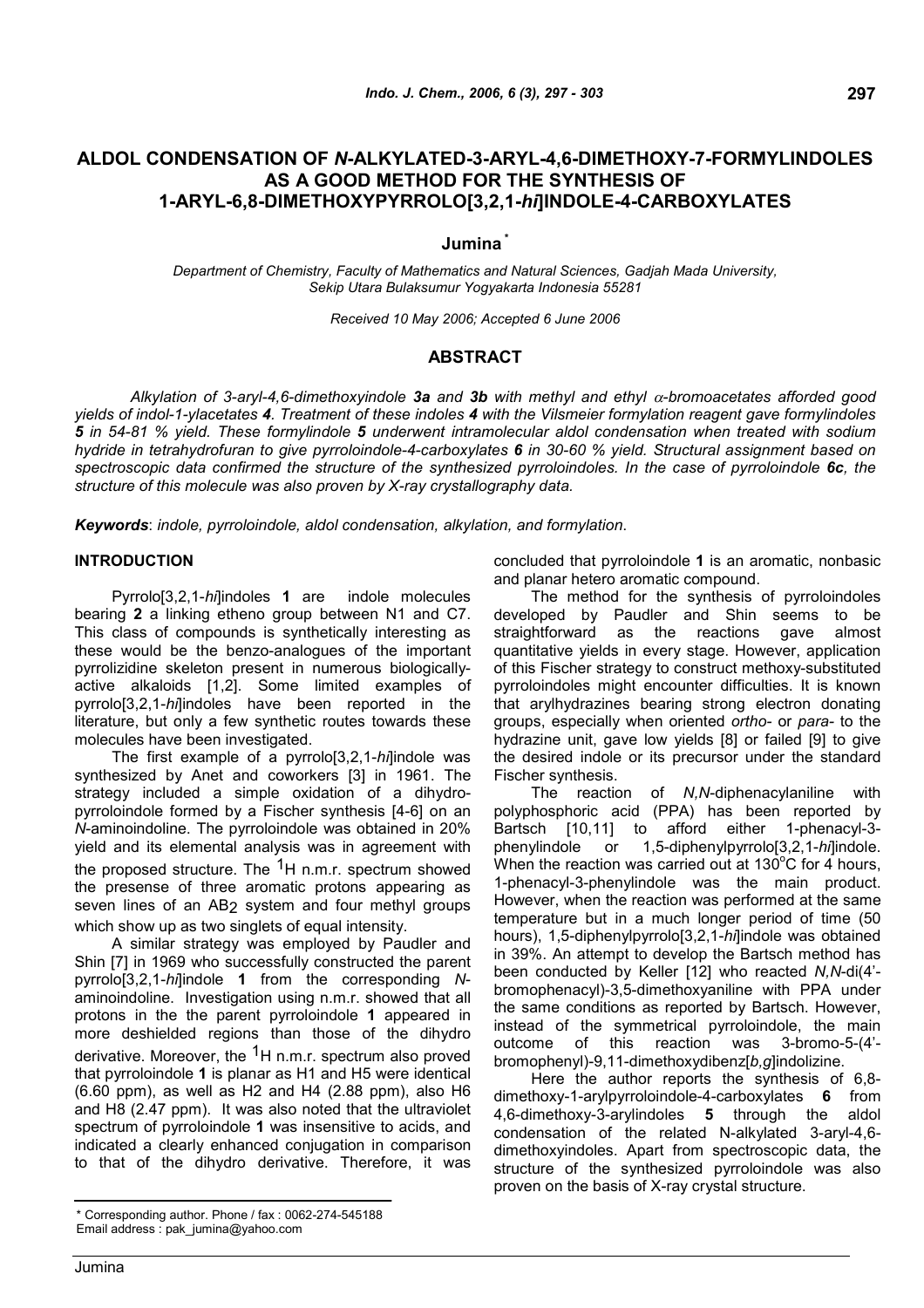# **ALDOL CONDENSATION OF** *N***-ALKYLATED-3-ARYL-4,6-DIMETHOXY-7-FORMYLINDOLES AS A GOOD METHOD FOR THE SYNTHESIS OF 1-ARYL-6,8-DIMETHOXYPYRROLO[3,2,1-***hi***]INDOLE-4-CARBOXYLATES**

#### **Jumina \***

*Department of Chemistry, Faculty of Mathematics and Natural Sciences, Gadjah Mada University, Sekip Utara Bulaksumur Yogyakarta Indonesia 55281*

*Received 10 May 2006; Accepted 6 June 2006*

### **ABSTRACT**

*Alkylation of 3-aryl-4,6-dimethoxyindole 3a and 3b with methyl and ethyl -bromoacetates afforded good yields of indol-1-ylacetates 4. Treatment of these indoles 4 with the Vilsmeier formylation reagent gave formylindoles 5 in 54-81 % yield. These formylindole 5 underwent intramolecular aldol condensation when treated with sodium hydride in tetrahydrofuran to give pyrroloindole-4-carboxylates 6 in 30-60 % yield. Structural assignment based on spectroscopic data confirmed the structure of the synthesized pyrroloindoles. In the case of pyrroloindole 6c, the structure of this molecule was also proven by X-ray crystallography data.*

*Keywords*: *indole, pyrroloindole, aldol condensation, alkylation, and formylation*.

#### **INTRODUCTION**

Pyrrolo[3,2,1-*hi*]indoles **1** are indole molecules bearing **2** a linking etheno group between N1 and C7. This class of compounds is synthetically interesting as these would be the benzo-analogues of the important pyrrolizidine skeleton present in numerous biologicallyactive alkaloids [1,2]. Some limited examples of pyrrolo[3,2,1-*hi*]indoles have been reported in the literature, but only a few synthetic routes towards these molecules have been investigated.

The first example of a pyrrolo[3,2,1-*hi*]indole was synthesized by Anet and coworkers [3] in 1961. The strategy included a simple oxidation of a dihydropyrroloindole formed by a Fischer synthesis [4-6] on an *N*-aminoindoline. The pyrroloindole was obtained in 20% yield and its elemental analysis was in agreement with the proposed structure. The  $1_H$  n.m.r. spectrum showed the presense of three aromatic protons appearing as seven lines of an AB<sub>2</sub> system and four methyl groups which show up as two singlets of equal intensity.

A similar strategy was employed by Paudler and Shin [7] in 1969 who successfully constructed the parent pyrrolo[3,2,1-*hi*]indole **1** from the corresponding *N*aminoindoline. Investigation using n.m.r. showed that all protons in the the parent pyrroloindole **1** appeared in more deshielded regions than those of the dihydro derivative. Moreover, the  $1H \, \text{m}$ . spectrum also proved that pyrroloindole **1** is planar as H1 and H5 were identical (6.60 ppm), as well as H2 and H4 (2.88 ppm), also H6 and H8 (2.47 ppm). It was also noted that the ultraviolet spectrum of pyrroloindole **1** was insensitive to acids, and indicated a clearly enhanced conjugation in comparison to that of the dihydro derivative. Therefore, it was

concluded that pyrroloindole **1** is an aromatic, nonbasic and planar hetero aromatic compound.

The method for the synthesis of pyrroloindoles developed by Paudler and Shin seems to be straightforward as the reactions gave almost quantitative yields in every stage. However, application of this Fischer strategy to construct methoxy-substituted pyrroloindoles might encounter difficulties. It is known that arylhydrazines bearing strong electron donating groups, especially when oriented *ortho-* or *para-* to the hydrazine unit, gave low yields [8] or failed [9] to give the desired indole or its precursor under the standard Fischer synthesis.

The reaction of *N,N*-diphenacylaniline with polyphosphoric acid (PPA) has been reported by Bartsch [10,11] to afford either 1-phenacyl-3 phenylindole or 1,5-diphenylpyrrolo[3,2,1-*hi*]indole. When the reaction was carried out at  $130^{\circ}$ C for 4 hours, 1-phenacyl-3-phenylindole was the main product. However, when the reaction was performed at the same temperature but in a much longer period of time (50 hours), 1,5-diphenylpyrrolo[3,2,1-*hi*]indole was obtained in 39%. An attempt to develop the Bartsch method has been conducted by Keller [12] who reacted *N,N*-di(4' bromophenacyl)-3,5-dimethoxyaniline with PPA under the same conditions as reported by Bartsch. However, instead of the symmetrical pyrroloindole, the main outcome of this reaction was 3-bromo-5-(4' bromophenyl)-9,11-dimethoxydibenz[*b,g*]indolizine.

Here the author reports the synthesis of 6,8 dimethoxy-1-arylpyrroloindole-4-carboxylates **6** from 4,6-dimethoxy-3-arylindoles **5** through the aldol condensation of the related N-alkylated 3-aryl-4,6 dimethoxyindoles. Apart from spectroscopic data, the structure of the synthesized pyrroloindole was also proven on the basis of X-ray crystal structure.

<sup>\*</sup> Corresponding author. Phone / fax : 0062-274-545188 Email address : pak\_jumina@yahoo.com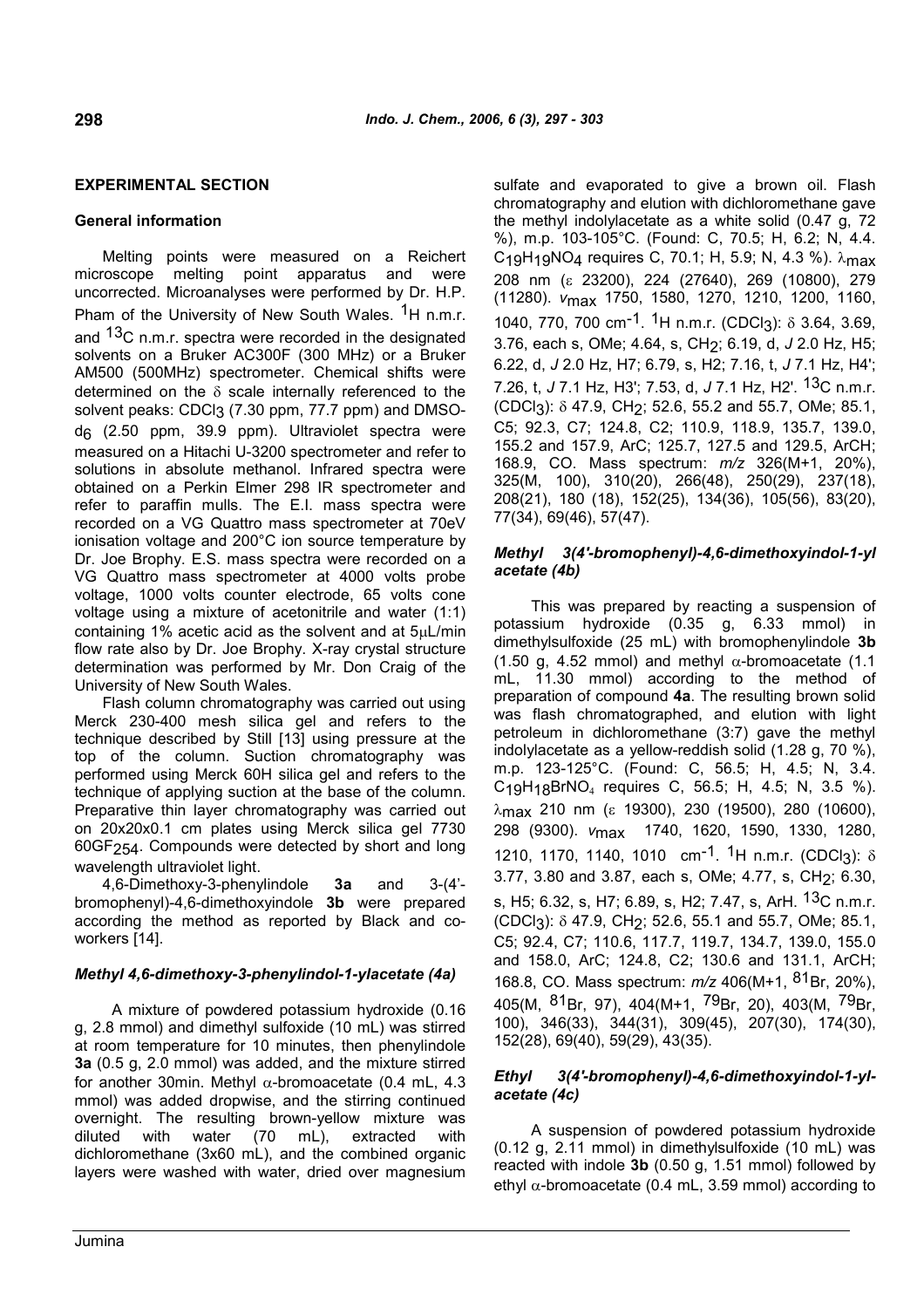# **EXPERIMENTAL SECTION**

### **General information**

Melting points were measured on a Reichert microscope melting point apparatus and were uncorrected. Microanalyses were performed by Dr. H.P. Pham of the University of New South Wales. <sup>1</sup>H n.m.r. and <sup>13</sup>C n.m.r. spectra were recorded in the designated solvents on a Bruker AC300F (300 MHz) or a Bruker AM500 (500MHz) spectrometer. Chemical shifts were determined on the  $\delta$  scale internally referenced to the solvent peaks:  $CDCl<sub>3</sub>$  (7.30 ppm, 77.7 ppm) and DMSO $d_f$  (2.50 ppm, 39.9 ppm). Ultraviolet spectra were measured on a Hitachi U-3200 spectrometer and refer to solutions in absolute methanol. Infrared spectra were obtained on a Perkin Elmer 298 IR spectrometer and refer to paraffin mulls. The E.I. mass spectra were recorded on a VG Quattro mass spectrometer at 70eV ionisation voltage and 200°C ion source temperature by Dr. Joe Brophy. E.S. mass spectra were recorded on a VG Quattro mass spectrometer at 4000 volts probe voltage, 1000 volts counter electrode, 65 volts cone voltage using a mixture of acetonitrile and water (1:1) containing 1% acetic acid as the solvent and at  $5\mu L/min$ flow rate also by Dr. Joe Brophy. X-ray crystal structure determination was performed by Mr. Don Craig of the University of New South Wales.

Flash column chromatography was carried out using Merck 230-400 mesh silica gel and refers to the technique described by Still [13] using pressure at the top of the column. Suction chromatography was performed using Merck 60H silica gel and refers to the technique of applying suction at the base of the column. Preparative thin layer chromatography was carried out on 20x20x0.1 cm plates using Merck silica gel 7730 60GF254. Compounds were detected by short and long wavelength ultraviolet light.

4,6-Dimethoxy-3-phenylindole **3a** and 3-(4' bromophenyl)-4,6-dimethoxyindole **3b** were prepared according the method as reported by Black and coworkers [14].

# *Methyl 4,6-dimethoxy-3-phenylindol-1-ylacetate (4a)*

A mixture of powdered potassium hydroxide (0.16 g, 2.8 mmol) and dimethyl sulfoxide (10 mL) was stirred at room temperature for 10 minutes, then phenylindole **3a** (0.5 g, 2.0 mmol) was added, and the mixture stirred for another 30min. Methyl  $\alpha$ -bromoacetate (0.4 mL, 4.3 mmol) was added dropwise, and the stirring continued overnight. The resulting brown-yellow mixture was diluted with water (70 mL), extracted with dichloromethane (3x60 mL), and the combined organic layers were washed with water, dried over magnesium sulfate and evaporated to give a brown oil. Flash chromatography and elution with dichloromethane gave the methyl indolylacetate as a white solid (0.47 g, 72 %), m.p. 103-105°C. (Found: C, 70.5; H, 6.2; N, 4.4. C<sub>19</sub>H<sub>19</sub>NO<sub>4</sub> requires C, 70.1; H, 5.9; N, 4.3 %).  $\lambda_{\text{max}}$ 208 nm ( $\epsilon$  23200), 224 (27640), 269 (10800), 279 (11280). *v*max 1750, 1580, 1270, 1210, 1200, 1160, 1040, 770, 700 cm<sup>-1</sup>. <sup>1</sup>H n.m.r. (CDCl<sub>3</sub>):  $\delta$  3.64, 3.69, 3.76, each s, OMe; 4.64, s, CH2; 6.19, d, *J* 2.0 Hz, H5; 6.22, d, *J* 2.0 Hz, H7; 6.79, s, H2; 7.16, t, *J* 7.1 Hz, H4'; 7.26, t, *J* 7.1 Hz, H3'; 7.53, d, *J* 7.1 Hz, H2'. 13C n.m.r. (CDCl3): 47.9, CH2; 52.6, 55.2 and 55.7, OMe; 85.1, C5; 92.3, C7; 124.8, C2; 110.9, 118.9, 135.7, 139.0, 155.2 and 157.9, ArC; 125.7, 127.5 and 129.5, ArCH; 168.9, CO. Mass spectrum: *m/z* 326(M+1, 20%), 325(M, 100), 310(20), 266(48), 250(29), 237(18), 208(21), 180 (18), 152(25), 134(36), 105(56), 83(20), 77(34), 69(46), 57(47).

### *Methyl 3(4'-bromophenyl)-4,6-dimethoxyindol-1-yl acetate (4b)*

This was prepared by reacting a suspension of potassium hydroxide (0.35 g, 6.33 mmol) in dimethylsulfoxide (25 mL) with bromophenylindole **3b** (1.50 g, 4.52 mmol) and methyl  $\alpha$ -bromoacetate (1.1) mL, 11.30 mmol) according to the method of preparation of compound **4a**. The resulting brown solid was flash chromatographed, and elution with light petroleum in dichloromethane (3:7) gave the methyl indolylacetate as a yellow-reddish solid (1.28 g, 70 %), m.p. 123-125°C. (Found: C, 56.5; H, 4.5; N, 3.4.  $C_19H_18BrNO<sub>4</sub>$  requires C, 56.5; H, 4.5; N, 3.5 %).  $\lambda$ max 210 nm ( $\epsilon$  19300), 230 (19500), 280 (10600), 298 (9300). *v*max 1740, 1620, 1590, 1330, 1280, 1210, 1170, 1140, 1010 cm<sup>-1</sup>. <sup>1</sup>H n.m.r. (CDCl3): δ 3.77, 3.80 and 3.87, each s, OMe: 4.77, s, CH<sub>2</sub>: 6.30, s, H5; 6.32, s, H7; 6.89, s, H2; 7.47, s, ArH. <sup>13</sup>C n.m.r. (CDCl3): 47.9, CH2; 52.6, 55.1 and 55.7, OMe; 85.1, C5; 92.4, C7; 110.6, 117.7, 119.7, 134.7, 139.0, 155.0 and 158.0, ArC; 124.8, C2; 130.6 and 131.1, ArCH; 168.8, CO. Mass spectrum: *m/z* 406(M+1, 81Br, 20%), 405(M, 81Br, 97), 404(M+1, 79Br, 20), 403(M, 79Br, 100), 346(33), 344(31), 309(45), 207(30), 174(30), 152(28), 69(40), 59(29), 43(35).

#### *Ethyl 3(4'-bromophenyl)-4,6-dimethoxyindol-1-ylacetate (4c)*

A suspension of powdered potassium hydroxide (0.12 g, 2.11 mmol) in dimethylsulfoxide (10 mL) was reacted with indole **3b** (0.50 g, 1.51 mmol) followed by ethyl  $\alpha$ -bromoacetate (0.4 mL, 3.59 mmol) according to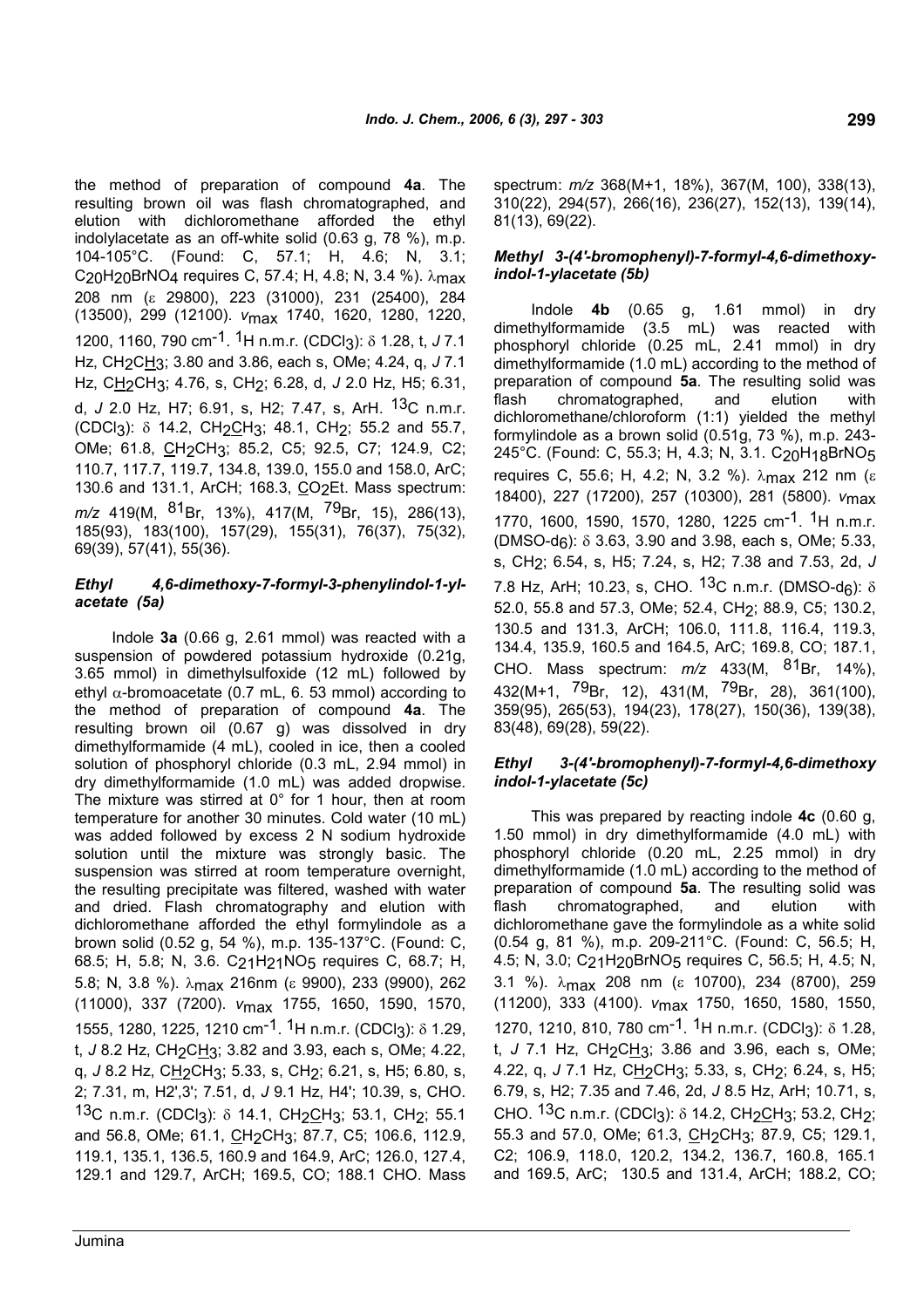the method of preparation of compound **4a**. The resulting brown oil was flash chromatographed, and elution with dichloromethane afforded the ethyl indolylacetate as an off-white solid (0.63 g, 78 %), m.p. 104-105°C. (Found: C, 57.1; H, 4.6; N, 3.1; C<sub>20</sub>H<sub>20</sub>BrNO<sub>4</sub> requires C, 57.4; H, 4.8; N, 3.4 %). λ<sub>max</sub> 208 nm (ε 29800), 223 (31000), 231 (25400), 284 (13500), 299 (12100). *v*max 1740, 1620, 1280, 1220, 1200, 1160, 790 cm<sup>-1</sup>. <sup>1</sup>H n.m.r. (CDCl3): δ 1.28, t, *J* 7.1 Hz, CH2CH3; 3.80 and 3.86, each s, OMe; 4.24, q, *J* 7.1 Hz, CH2CH3; 4.76, s, CH2; 6.28, d, *J* 2.0 Hz, H5; 6.31, d, *J* 2.0 Hz, H7; 6.91, s, H2; 7.47, s, ArH. 13C n.m.r. (CDCl3): δ 14.2, CH<sub>2</sub>CH<sub>3</sub>; 48.1, CH<sub>2</sub>; 55.2 and 55.7, OMe; 61.8, CH<sub>2</sub>CH<sub>3</sub>; 85.2, C5; 92.5, C7; 124.9, C2; 110.7, 117.7, 119.7, 134.8, 139.0, 155.0 and 158.0, ArC; 130.6 and 131.1, ArCH; 168.3, CO<sub>2</sub>Et. Mass spectrum:

*m/z* 419(M, 81Br, 13%), 417(M, 79Br, 15), 286(13), 185(93), 183(100), 157(29), 155(31), 76(37), 75(32), 69(39), 57(41), 55(36).

### *Ethyl 4,6-dimethoxy-7-formyl-3-phenylindol-1-ylacetate (5a)*

Indole **3a** (0.66 g, 2.61 mmol) was reacted with a suspension of powdered potassium hydroxide (0.21g, 3.65 mmol) in dimethylsulfoxide (12 mL) followed by ethyl  $\alpha$ -bromoacetate (0.7 mL, 6, 53 mmol) according to the method of preparation of compound **4a**. The resulting brown oil (0.67 g) was dissolved in dry dimethylformamide (4 mL), cooled in ice, then a cooled solution of phosphoryl chloride (0.3 mL, 2.94 mmol) in Ethyl dry dimethylformamide (1.0 mL) was added dropwise. The mixture was stirred at 0° for 1 hour, then at room temperature for another 30 minutes. Cold water (10 mL) was added followed by excess 2 N sodium hydroxide solution until the mixture was strongly basic. The suspension was stirred at room temperature overnight, the resulting precipitate was filtered, washed with water and dried. Flash chromatography and elution with dichloromethane afforded the ethyl formylindole as a brown solid (0.52 g, 54 %), m.p. 135-137°C. (Found: C, 68.5; H, 5.8; N, 3.6. C21H21NO5 requires C, 68.7; H, 5.8; N, 3.8 %).  $\lambda$ max 216nm ( $\epsilon$  9900), 233 (9900), 262 (11000), 337 (7200). *v*max 1755, 1650, 1590, 1570, 1555, 1280, 1225, 1210 cm<sup>-1</sup>. <sup>1</sup>H n.m.r. (CDCl3): δ 1.29, t, *J* 8.2 Hz, CH2CH3; 3.82 and 3.93, each s, OMe; 4.22, q, *J* 8.2 Hz, CH2CH3; 5.33, s, CH2; 6.21, s, H5; 6.80, s, 2; 7.31, m, H2',3'; 7.51, d, *J* 9.1 Hz, H4'; 10.39, s, CHO.  $13C$  n.m.r. (CDCl3):  $\delta$  14.1, CH<sub>2</sub>CH<sub>3</sub>; 53.1, CH<sub>2</sub>; 55.1 and 56.8, OMe; 61.1, CH<sub>2</sub>CH<sub>3</sub>; 87.7, C5; 106.6, 112.9, 119.1, 135.1, 136.5, 160.9 and 164.9, ArC; 126.0, 127.4, 129.1 and 129.7, ArCH; 169.5, CO; 188.1 CHO. Mass

### *Methyl 3-(4'-bromophenyl)-7-formyl-4,6-dimethoxyindol-1-ylacetate (5b)*

Indole **4b** (0.65 g, 1.61 mmol) in dry dimethylformamide (3.5 mL) was reacted with phosphoryl chloride (0.25 mL, 2.41 mmol) in dry dimethylformamide (1.0 mL) according to the method of preparation of compound **5a**. The resulting solid was flash chromatographed, and elution with dichloromethane/chloroform (1:1) yielded the methyl formylindole as a brown solid (0.51g, 73 %), m.p. 243- 245°C. (Found: C, 55.3; H, 4.3; N, 3.1. C<sub>20</sub>H<sub>18</sub>BrNO<sub>5</sub> requires C, 55.6; H, 4.2; N, 3.2 %).  $λ_{max}$  212 nm (ε 18400), 227 (17200), 257 (10300), 281 (5800). *v*max 1770, 1600, 1590, 1570, 1280, 1225 cm<sup>-1</sup>. <sup>1</sup>H n.m.r. (DMSO-d6): 3.63, 3.90 and 3.98, each s, OMe; 5.33, s, CH2; 6.54, s, H5; 7.24, s, H2; 7.38 and 7.53, 2d, *J* 7.8 Hz, ArH; 10.23, s, CHO.  $^{13}$ C n.m.r. (DMSO-d6):  $\delta$ 52.0, 55.8 and 57.3, OMe; 52.4, CH2; 88.9, C5; 130.2, 130.5 and 131.3, ArCH; 106.0, 111.8, 116.4, 119.3, 134.4, 135.9, 160.5 and 164.5, ArC; 169.8, CO; 187.1, CHO. Mass spectrum: *m/z* 433(M, 81Br, 14%), 432(M+1, 79Br, 12), 431(M, 79Br, 28), 361(100), 359(95), 265(53), 194(23), 178(27), 150(36), 139(38), 83(48), 69(28), 59(22).

#### *Ethyl 3-(4'-bromophenyl)-7-formyl-4,6-dimethoxy indol-1-ylacetate (5c)*

This was prepared by reacting indole **4c** (0.60 g, 1.50 mmol) in dry dimethylformamide (4.0 mL) with phosphoryl chloride (0.20 mL, 2.25 mmol) in dry dimethylformamide (1.0 mL) according to the method of preparation of compound **5a**. The resulting solid was flash chromatographed, and elution with dichloromethane gave the formylindole as a white solid (0.54 g, 81 %), m.p. 209-211°C. (Found: C, 56.5; H, 4.5; N, 3.0; C21H20BrNO5 requires C, 56.5; H, 4.5; N, 3.1 %).  $\lambda_{\text{max}}$  208 nm ( $\epsilon$  10700), 234 (8700), 259 (11200), 333 (4100). *v*max 1750, 1650, 1580, 1550, 1270, 1210, 810, 780 cm<sup>-1</sup>. <sup>1</sup>H n.m.r. (CDCl3): δ 1.28, t, *J* 7.1 Hz, CH<sub>2</sub>CH<sub>3</sub>; 3.86 and 3.96, each s, OMe; 4.22, q, *J* 7.1 Hz, CH2CH3; 5.33, s, CH2; 6.24, s, H5; 6.79, s, H2; 7.35 and 7.46, 2d, *J* 8.5 Hz, ArH; 10.71, s, CHO.  $^{13}$ C n.m.r. (CDCl3):  $\delta$  14.2, CH<sub>2</sub>CH<sub>3</sub>; 53.2, CH<sub>2</sub>; 55.3 and 57.0, OMe; 61.3, CH2CH3; 87.9, C5; 129.1, C2; 106.9, 118.0, 120.2, 134.2, 136.7, 160.8, 165.1 and 169.5, ArC; 130.5 and 131.4, ArCH; 188.2, CO;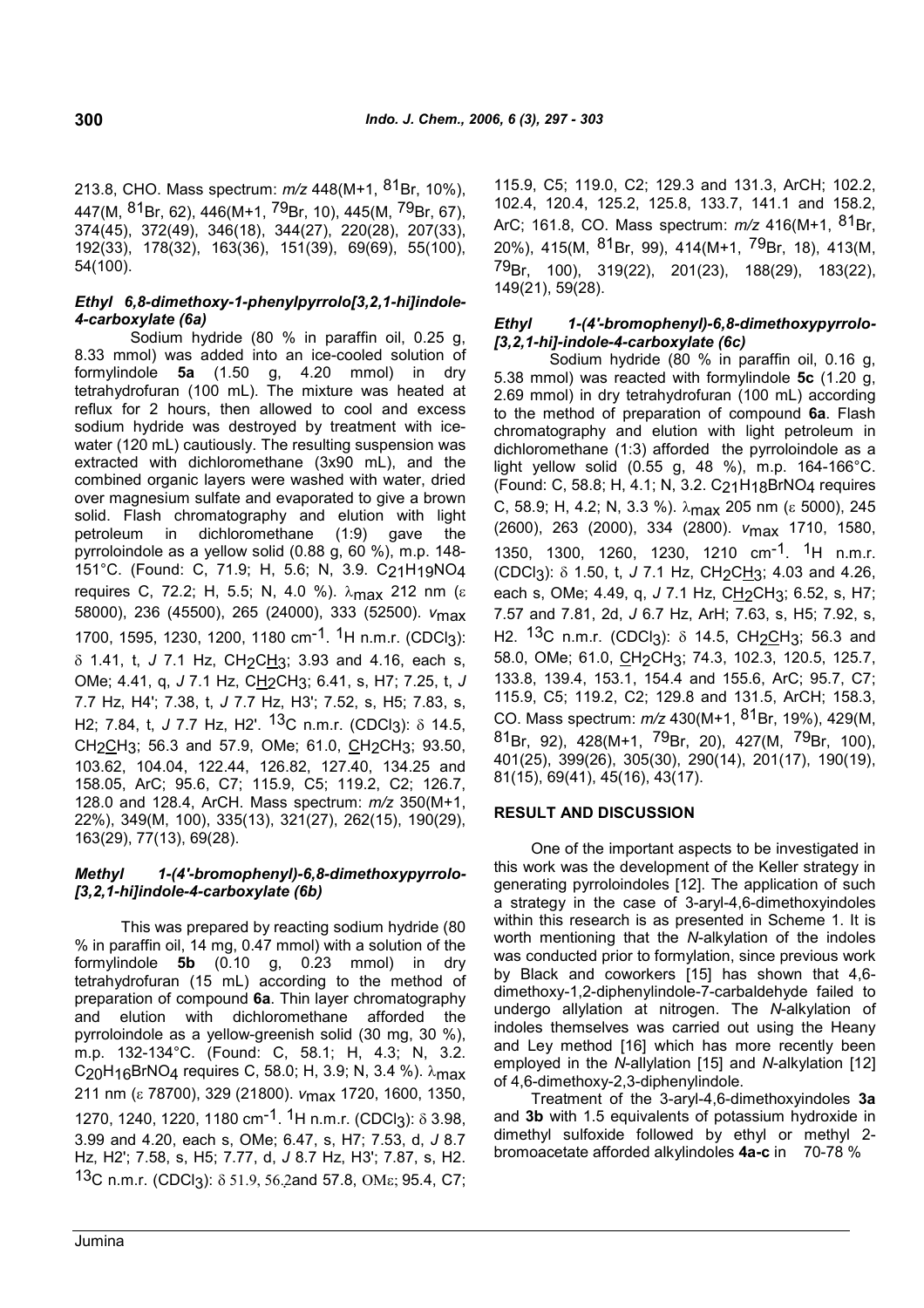213.8, CHO. Mass spectrum: *m/z* 448(M+1, 81Br, 10%), 447(M, 81Br, 62), 446(M+1, 79Br, 10), 445(M, 79Br, 67), 374(45), 372(49), 346(18), 344(27), 220(28), 207(33), 192(33), 178(32), 163(36), 151(39), 69(69), 55(100), 54(100).

### *Ethyl 6,8-dimethoxy-1-phenylpyrrolo[3,2,1-hi]indole-4-carboxylate (6a)*

Xylate (6a)<br>Sodium hydride (80 % in paraffin oil, 0.25 g, n 13 1. 8.33 mmol) was added into an ice-cooled solution of formylindole **5a** (1.50 g, 4.20 mmol) in dry tetrahydrofuran (100 mL). The mixture was heated at reflux for 2 hours, then allowed to cool and excess sodium hydride was destroyed by treatment with icewater (120 mL) cautiously. The resulting suspension was extracted with dichloromethane (3x90 mL), and the combined organic layers were washed with water, dried over magnesium sulfate and evaporated to give a brown solid. Flash chromatography and elution with light petroleum in dichloromethane (1:9) gave the pyrroloindole as a yellow solid (0.88 g, 60 %), m.p. 148- 151°C. (Found: C, 71.9; H, 5.6; N, 3.9. C<sub>21</sub>H<sub>19</sub>NO<sub>4</sub> requires C, 72.2; Η, 5.5; Ν, 4.0 %).  $λ_{max}$  212 nm (ε 58000), 236 (45500), 265 (24000), 333 (52500). *v*max 1700, 1595, 1230, 1200, 1180 cm<sup>-1</sup>. <sup>1</sup>H n.m.r. (CDCl3): 1.41, t, *J* 7.1 Hz, CH2CH3; 3.93 and 4.16, each s, OMe; 4.41, q, *J* 7.1 Hz, CH2CH3; 6.41, s, H7; 7.25, t, *J* 7.7 Hz, H4'; 7.38, t, *J* 7.7 Hz, H3'; 7.52, s, H5; 7.83, s, H<sub>2</sub>; 7.84, t, *J* 7.7 Hz, H<sub>2</sub>'. <sup>13</sup>C n.m.r. (CDCl<sub>3</sub>): δ 14.5, CH<sub>2</sub>CH<sub>3</sub>; 56.3 and 57.9, OMe; 61.0, CH<sub>2</sub>CH<sub>3</sub>; 93.50, 103.62, 104.04, 122.44, 126.82, 127.40, 134.25 and 158.05, ArC; 95.6, C7; 115.9, C5; 119.2, C2; 126.7, 128.0 and 128.4, ArCH. Mass spectrum: *m/z* 350(M+1, 22%), 349(M, 100), 335(13), 321(27), 262(15), 190(29), 163(29), 77(13), 69(28).

#### *Methyl 1-(4'-bromophenyl)-6,8-dimethoxypyrrolo- [3,2,1-hi]indole-4-carboxylate (6b)*

This was prepared by reacting sodium hydride (80 % in paraffin oil, 14 mg, 0.47 mmol) with a solution of the formylindole **5b** (0.10 g, 0.23 mmol) in dry tetrahydrofuran (15 mL) according to the method of preparation of compound **6a**. Thin layer chromatography and elution with dichloromethane afforded the pyrroloindole as a yellow-greenish solid (30 mg, 30 %), m.p. 132-134°C. (Found: C, 58.1; H, 4.3; N, 3.2. C20H16BrNO4 requires C, 58.0; H, 3.9; N, 3.4 %). max 211 nm (ε 78700), 329 (21800). *V*max 1720, 1600, 1350, 1270, 1240, 1220, 1180 cm<sup>-1</sup>. <sup>1</sup>H n.m.r. (CDCl3):  $\delta$  3.98, 3.99 and 4.20, each s, OMe; 6.47, s, H7; 7.53, d, *J* 8.7 Hz, H2'; 7.58, s, H5; 7.77, d, *J* 8.7 Hz, H3'; 7.87, s, H2. 13C n.m.r. (CDCl3):  $\delta$  51.9, 56.2and 57.8, OM $\varepsilon$ ; 95.4, C7; 115.9, C5; 119.0, C2; 129.3 and 131.3, ArCH; 102.2, 102.4, 120.4, 125.2, 125.8, 133.7, 141.1 and 158.2, ArC; 161.8, CO. Mass spectrum: *m/z* 416(M+1, 81Br, 20%), 415(M,  $81B$ F, 99), 414(M+1,  $79B$ F, 18), 413(M, 79Br, 100), 319(22), 201(23), 188(29), 183(22), 149(21), 59(28).

# *Ethyl 1-(4'-bromophenyl)-6,8-dimethoxypyrrolo- [3,2,1-hi]-indole-4-carboxylate (6c)*

Sodium hydride (80 % in paraffin oil, 0.16 g, 5.38 mmol) was reacted with formylindole **5c** (1.20 g, 2.69 mmol) in dry tetrahydrofuran (100 mL) according to the method of preparation of compound **6a**. Flash chromatography and elution with light petroleum in dichloromethane (1:3) afforded the pyrroloindole as a light yellow solid (0.55 g, 48 %), m.p. 164-166°C. (Found: C, 58.8; H, 4.1; N, 3.2. C21H18BrNO4 requires C, 58.9; H, 4.2; N, 3.3 %).  $\lambda_{\text{max}}$  205 nm ( $\epsilon$  5000), 245 (2600), 263 (2000), 334 (2800). *v*max 1710, 1580, 1350, 1300, 1260, 1230, 1210 cm-1. 1H n.m.r. (CDCl<sub>3</sub>): δ 1.50, t, *J* 7.1 Hz, CH<sub>2</sub>CH<sub>3</sub>; 4.03 and 4.26, each s, OMe; 4.49, q, J 7.1 Hz, CH<sub>2</sub>CH<sub>3</sub>; 6.52, s, H<sub>7</sub>; 7.57 and 7.81, 2d, *J* 6.7 Hz, ArH; 7.63, s, H5; 7.92, s, H2.  $13C$  n.m.r. (CDCl3):  $\delta$  14.5, CH<sub>2</sub>CH<sub>3</sub>; 56.3 and 58.0, OMe; 61.0, CH2CH3; 74.3, 102.3, 120.5, 125.7, 133.8, 139.4, 153.1, 154.4 and 155.6, ArC; 95.7, C7; 115.9, C5; 119.2, C2; 129.8 and 131.5, ArCH; 158.3, CO. Mass spectrum: *m/z* 430(M+1, 81Br, 19%), 429(M,  $81_{\text{Br}}$ , 92), 428(M+1,  $79_{\text{Br}}$ , 20), 427(M,  $79_{\text{Br}}$ , 100), 401(25), 399(26), 305(30), 290(14), 201(17), 190(19), 81(15), 69(41), 45(16), 43(17).

# **RESULT AND DISCUSSION**

One of the important aspects to be investigated in this work was the development of the Keller strategy in generating pyrroloindoles [12]. The application of such a strategy in the case of 3-aryl-4,6-dimethoxyindoles within this research is as presented in Scheme 1. It is worth mentioning that the *N*-alkylation of the indoles was conducted prior to formylation, since previous work by Black and coworkers [15] has shown that 4,6 dimethoxy-1,2-diphenylindole-7-carbaldehyde failed to undergo allylation at nitrogen. The *N*-alkylation of indoles themselves was carried out using the Heany and Ley method [16] which has more recently been employed in the *N*-allylation [15] and *N*-alkylation [12] of 4,6-dimethoxy-2,3-diphenylindole.

Treatment of the 3-aryl-4,6-dimethoxyindoles **3a** and **3b** with 1.5 equivalents of potassium hydroxide in dimethyl sulfoxide followed by ethyl or methyl 2 bromoacetate afforded alkylindoles **4a-c** in 70-78 %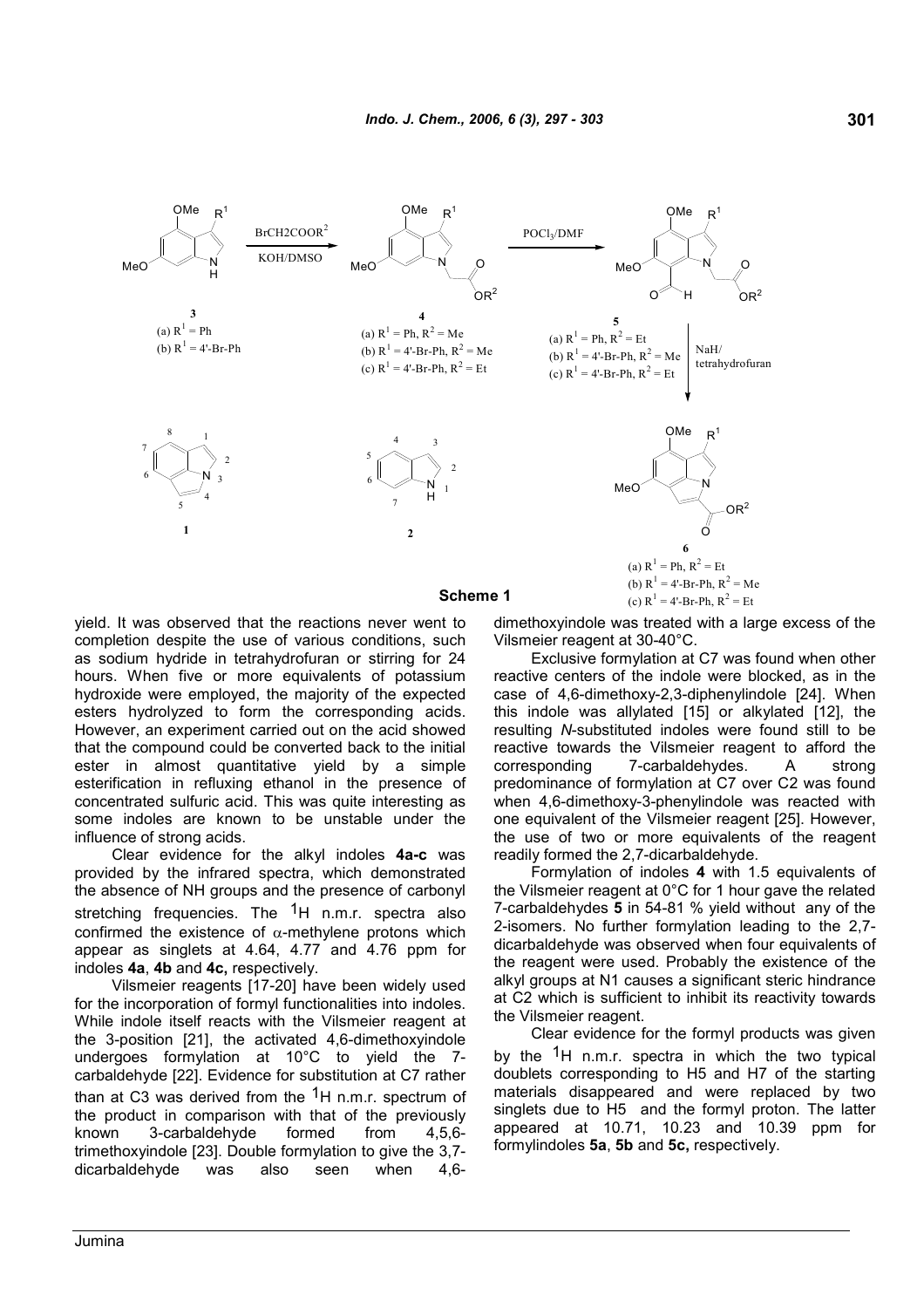

yield. It was observed that the reactions never went to completion despite the use of various conditions, such as sodium hydride in tetrahydrofuran or stirring for 24 hours. When five or more equivalents of potassium hydroxide were employed, the majority of the expected esters hydrolyzed to form the corresponding acids. However, an experiment carried out on the acid showed that the compound could be converted back to the initial ester in almost quantitative yield by a simple esterification in refluxing ethanol in the presence of concentrated sulfuric acid. This was quite interesting as some indoles are known to be unstable under the influence of strong acids.

Clear evidence for the alkyl indoles **4a-c** was provided by the infrared spectra, which demonstrated the absence of NH groups and the presence of carbonyl stretching frequencies. The  $1H$  n.m.r. spectra also confirmed the existence of  $\alpha$ -methylene protons which appear as singlets at 4.64, 4.77 and 4.76 ppm for indoles **4a**, **4b** and **4c,** respectively.

Vilsmeier reagents [17-20] have been widely used for the incorporation of formyl functionalities into indoles. While indole itself reacts with the Vilsmeier reagent at the 3-position [21], the activated 4,6-dimethoxyindole undergoes formylation at 10°C to yield the 7 carbaldehyde [22]. Evidence for substitution at C7 rather than at C3 was derived from the  $1H$  n.m.r. spectrum of the product in comparison with that of the previously known 3-carbaldehyde formed from 4,5,6 trimethoxyindole [23]. Double formylation to give the 3,7 dicarbaldehyde was also seen when 4,6dimethoxyindole was treated with a large excess of the Vilsmeier reagent at 30-40°C.

Exclusive formylation at C7 was found when other reactive centers of the indole were blocked, as in the case of 4,6-dimethoxy-2,3-diphenylindole [24]. When this indole was allylated [15] or alkylated [12], the resulting *N*-substituted indoles were found still to be reactive towards the Vilsmeier reagent to afford the corresponding 7-carbaldehydes. A strong predominance of formylation at C7 over C2 was found when 4,6-dimethoxy-3-phenylindole was reacted with one equivalent of the Vilsmeier reagent [25]. However, the use of two or more equivalents of the reagent readily formed the 2,7-dicarbaldehyde.

Formylation of indoles **4** with 1.5 equivalents of the Vilsmeier reagent at 0°C for 1 hour gave the related 7-carbaldehydes **5** in 54-81 % yield without any of the 2-isomers. No further formylation leading to the 2,7 dicarbaldehyde was observed when four equivalents of the reagent were used. Probably the existence of the alkyl groups at N1 causes a significant steric hindrance at C2 which is sufficient to inhibit its reactivity towards the Vilsmeier reagent.

Clear evidence for the formyl products was given by the  $1_H$  n.m.r. spectra in which the two typical doublets corresponding to H5 and H7 of the starting materials disappeared and were replaced by two singlets due to H5 and the formyl proton. The latter appeared at 10.71, 10.23 and 10.39 ppm for formylindoles **5a**, **5b** and **5c,** respectively.

**301**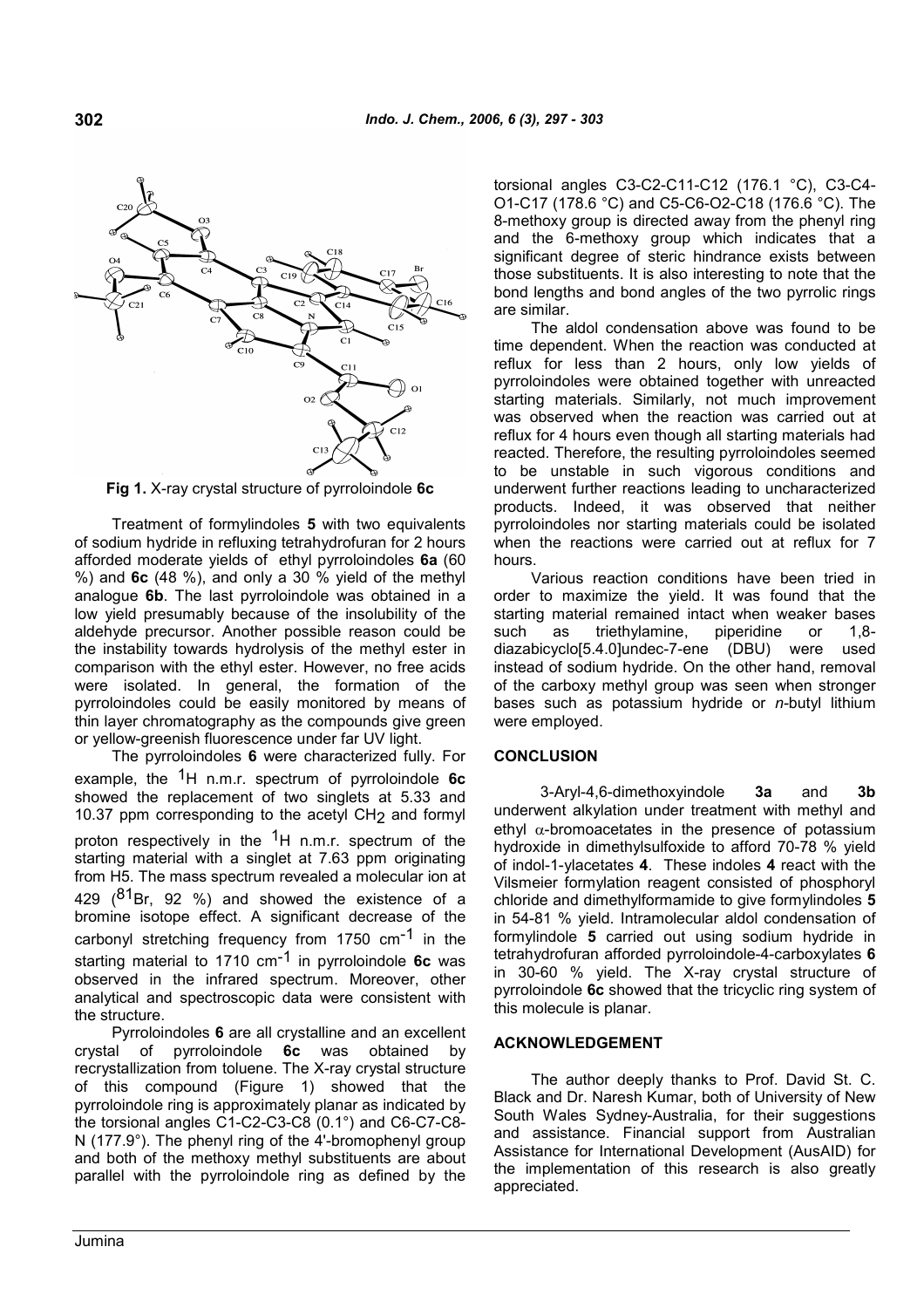

**Fig 1.** X-ray crystal structure of pyrroloindole **6c**

Treatment of formylindoles **5** with two equivalents of sodium hydride in refluxing tetrahydrofuran for 2 hours afforded moderate yields of ethyl pyrroloindoles **6a** (60 %) and **6c** (48 %), and only a 30 % yield of the methyl analogue **6b**. The last pyrroloindole was obtained in a low yield presumably because of the insolubility of the aldehyde precursor. Another possible reason could be the instability towards hydrolysis of the methyl ester in comparison with the ethyl ester. However, no free acids were isolated. In general, the formation of the pyrroloindoles could be easily monitored by means of thin layer chromatography as the compounds give green or yellow-greenish fluorescence under far UV light.

The pyrroloindoles **6** were characterized fully. For example, the 1H n.m.r. spectrum of pyrroloindole **6c** showed the replacement of two singlets at 5.33 and 10.37 ppm corresponding to the acetyl CH<sub>2</sub> and formyl proton respectively in the  $1_H$  n.m.r. spectrum of the starting material with a singlet at 7.63 ppm originating from H5. The mass spectrum revealed a molecular ion at 429  $(^{81}Br, 92$  %) and showed the existence of a bromine isotope effect. A significant decrease of the carbonyl stretching frequency from 1750 cm<sup>-1</sup> in the starting material to 1710 cm-1 in pyrroloindole **6c** was observed in the infrared spectrum. Moreover, other analytical and spectroscopic data were consistent with the structure.

Pyrroloindoles **6** are all crystalline and an excellent crystal of pyrroloindole **6c** was obtained by recrystallization from toluene. The X-ray crystal structure of this compound (Figure 1) showed that the pyrroloindole ring is approximately planar as indicated by the torsional angles C1-C2-C3-C8 (0.1°) and C6-C7-C8- N (177.9°). The phenyl ring of the 4'-bromophenyl group and both of the methoxy methyl substituents are about parallel with the pyrroloindole ring as defined by the torsional angles C3-C2-C11-C12 (176.1 °C), C3-C4- O1-C17 (178.6 °C) and C5-C6-O2-C18 (176.6 °C). The 8-methoxy group is directed away from the phenyl ring and the 6-methoxy group which indicates that a significant degree of steric hindrance exists between those substituents. It is also interesting to note that the bond lengths and bond angles of the two pyrrolic rings are similar.

The aldol condensation above was found to be time dependent. When the reaction was conducted at reflux for less than 2 hours, only low yields of pyrroloindoles were obtained together with unreacted starting materials. Similarly, not much improvement was observed when the reaction was carried out at reflux for 4 hours even though all starting materials had reacted. Therefore, the resulting pyrroloindoles seemed to be unstable in such vigorous conditions and underwent further reactions leading to uncharacterized products. Indeed, it was observed that neither pyrroloindoles nor starting materials could be isolated when the reactions were carried out at reflux for 7 hours.

Various reaction conditions have been tried in order to maximize the yield. It was found that the starting material remained intact when weaker bases<br>such as triethylamine, piperidine or 1,8such as triethylamine, piperidine or 1,8 diazabicyclo[5.4.0]undec-7-ene (DBU) were used instead of sodium hydride. On the other hand, removal of the carboxy methyl group was seen when stronger bases such as potassium hydride or *n-*butyl lithium were employed.

# **CONCLUSION**

3-Aryl-4,6-dimethoxyindole **3a** and **3b** underwent alkylation under treatment with methyl and ethyl  $\alpha$ -bromoacetates in the presence of potassium hydroxide in dimethylsulfoxide to afford 70-78 % yield of indol-1-ylacetates **4**. These indoles **4** react with the Vilsmeier formylation reagent consisted of phosphoryl chloride and dimethylformamide to give formylindoles **5** in 54-81 % yield. Intramolecular aldol condensation of formylindole **5** carried out using sodium hydride in tetrahydrofuran afforded pyrroloindole-4-carboxylates **6** in 30-60 % yield. The X-ray crystal structure of pyrroloindole **6c** showed that the tricyclic ring system of this molecule is planar.

# **ACKNOWLEDGEMENT**

The author deeply thanks to Prof. David St. C. Black and Dr. Naresh Kumar, both of University of New South Wales Sydney-Australia, for their suggestions and assistance. Financial support from Australian Assistance for International Development (AusAID) for the implementation of this research is also greatly appreciated.